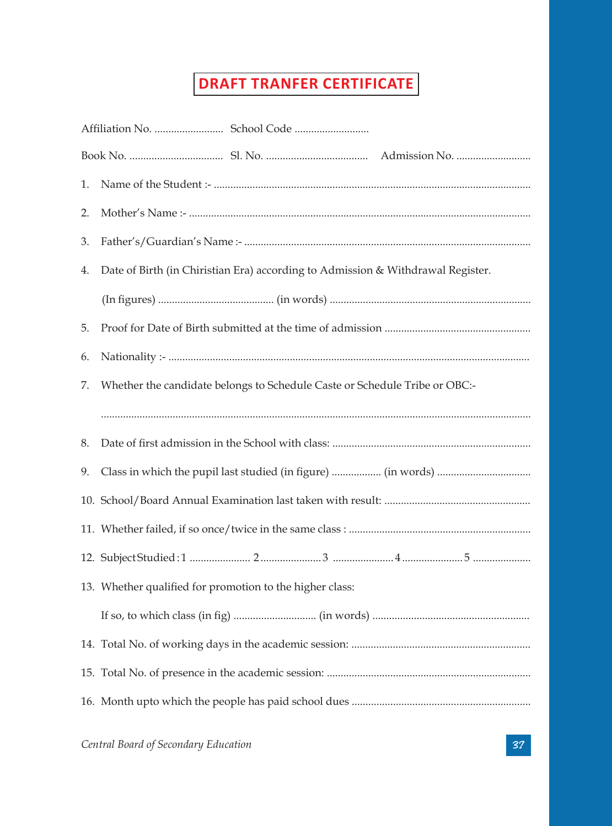## **DRAFT TRANFER CERTIFICATE**

| 1. |                                                          |                                                                                 |  |
|----|----------------------------------------------------------|---------------------------------------------------------------------------------|--|
| 2. |                                                          |                                                                                 |  |
| 3. |                                                          |                                                                                 |  |
| 4. |                                                          | Date of Birth (in Chiristian Era) according to Admission & Withdrawal Register. |  |
|    |                                                          |                                                                                 |  |
| 5. |                                                          |                                                                                 |  |
| 6. |                                                          |                                                                                 |  |
| 7. |                                                          | Whether the candidate belongs to Schedule Caste or Schedule Tribe or OBC:-      |  |
|    |                                                          |                                                                                 |  |
| 8. |                                                          |                                                                                 |  |
| 9. |                                                          |                                                                                 |  |
|    |                                                          |                                                                                 |  |
|    |                                                          |                                                                                 |  |
|    |                                                          |                                                                                 |  |
|    | 13. Whether qualified for promotion to the higher class: |                                                                                 |  |
|    |                                                          |                                                                                 |  |
|    |                                                          |                                                                                 |  |
|    |                                                          |                                                                                 |  |
|    |                                                          |                                                                                 |  |